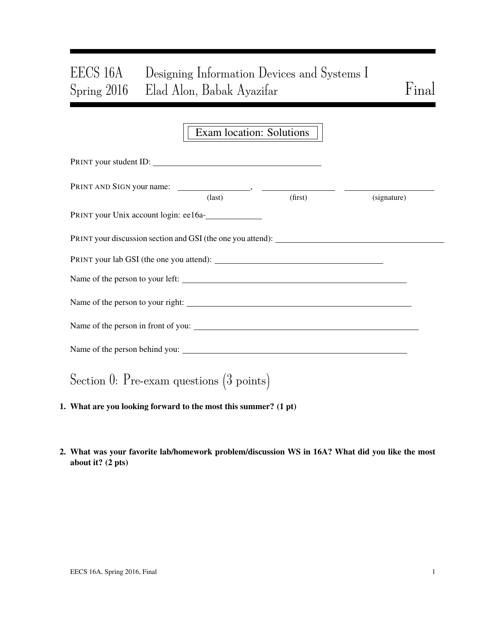# EECS 16A Designing Information Devices and Systems I Spring 2016 Elad Alon, Babak Ayazifar Final

### Exam location: Solutions

| PRINT your student ID:                                                            |                 |         |             |
|-----------------------------------------------------------------------------------|-----------------|---------|-------------|
|                                                                                   | $\text{(last)}$ | (first) | (signature) |
| PRINT your Unix account login: ee16a-                                             |                 |         |             |
| PRINT your discussion section and GSI (the one you attend): _____________________ |                 |         |             |
|                                                                                   |                 |         |             |
| Name of the person to your left:                                                  |                 |         |             |
|                                                                                   |                 |         |             |
|                                                                                   |                 |         |             |
|                                                                                   |                 |         |             |
| Section 0: Pre-exam questions $(3 \text{ points})$                                |                 |         |             |

- 1. What are you looking forward to the most this summer? (1 pt)
- 2. What was your favorite lab/homework problem/discussion WS in 16A? What did you like the most about it? (2 pts)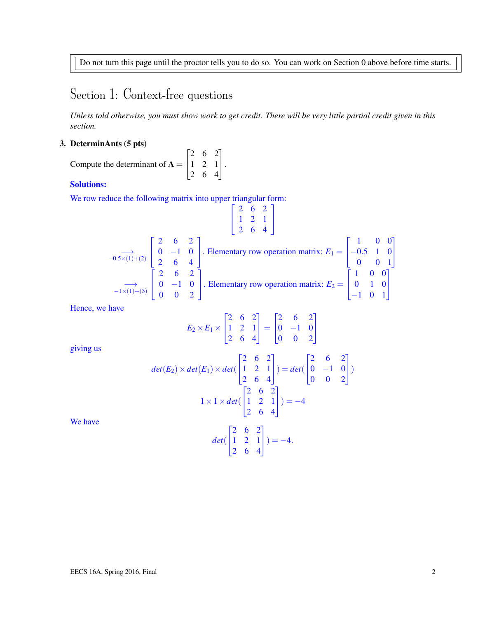Do not turn this page until the proctor tells you to do so. You can work on Section 0 above before time starts.

## Section 1: Context-free questions

*Unless told otherwise, you must show work to get credit. There will be very little partial credit given in this section.*

#### 3. DeterminAnts (5 pts)

Compute the determinant of  $A =$  $\sqrt{ }$  $\overline{1}$ 2 6 2 1 2 1 2 6 4 1  $\vert \cdot$ 

#### Solutions:

We row reduce the following matrix into upper triangular form:

$$
\begin{bmatrix} 2 & 6 & 2 \ 1 & 2 & 1 \ 2 & 6 & 4 \end{bmatrix}
$$
  
\n
$$
\xrightarrow{-0.5 \times (1) + (2)} \begin{bmatrix} 2 & 6 & 2 \ 0 & -1 & 0 \ 2 & 6 & 4 \end{bmatrix}
$$
. Elementary row operation matrix:  $E_1 = \begin{bmatrix} 1 & 0 & 0 \ -0.5 & 1 & 0 \ 0 & 0 & 1 \end{bmatrix}$   
\n
$$
\xrightarrow{-1 \times (1) + (3)} \begin{bmatrix} 2 & 6 & 2 \ 0 & -1 & 0 \ 0 & 0 & 2 \end{bmatrix}
$$
. Elementary row operation matrix:  $E_2 = \begin{bmatrix} 1 & 0 & 0 \ 0 & 1 & 0 \ -1 & 0 & 1 \end{bmatrix}$ 

Hence, we have

$$
E_2 \times E_1 \times \begin{bmatrix} 2 & 6 & 2 \\ 1 & 2 & 1 \\ 2 & 6 & 4 \end{bmatrix} = \begin{bmatrix} 2 & 6 & 2 \\ 0 & -1 & 0 \\ 0 & 0 & 2 \end{bmatrix}
$$

giving us

$$
det(E_2) \times det(E_1) \times det\begin{pmatrix} 2 & 6 & 2 \\ 1 & 2 & 1 \\ 2 & 6 & 4 \end{pmatrix} = det\begin{pmatrix} 2 & 6 & 2 \\ 0 & -1 & 0 \\ 0 & 0 & 2 \end{pmatrix}
$$

$$
1 \times 1 \times det\begin{pmatrix} 2 & 6 & 2 \\ 1 & 2 & 1 \\ 2 & 6 & 4 \end{pmatrix} = -4
$$

$$
det\begin{pmatrix} 2 & 6 & 2 \\ 1 & 2 & 1 \\ 2 & 6 & 4 \end{pmatrix} = -4.
$$

We have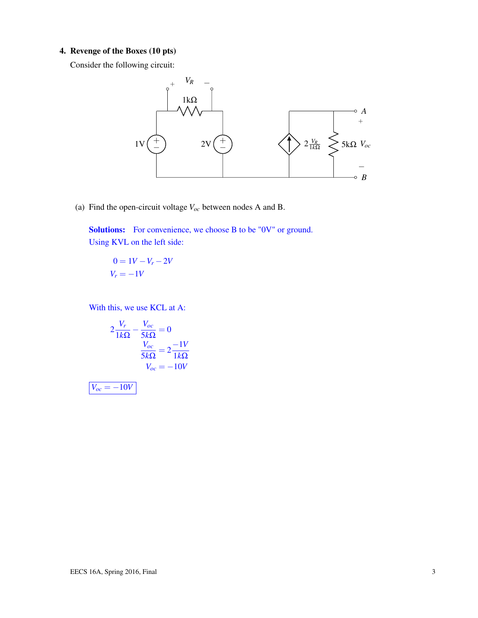#### 4. Revenge of the Boxes (10 pts)

Consider the following circuit:



(a) Find the open-circuit voltage *Voc* between nodes A and B.

Solutions: For convenience, we choose B to be "0V" or ground. Using KVL on the left side:

$$
0 = 1V - V_r - 2V
$$

$$
V_r = -1V
$$

With this, we use KCL at A:

$$
2\frac{V_r}{1k\Omega} - \frac{V_{oc}}{5k\Omega} = 0
$$

$$
\frac{V_{oc}}{5k\Omega} = 2\frac{-1V}{1k\Omega}
$$

$$
V_{oc} = -10V
$$

 $V_{oc} = -10V$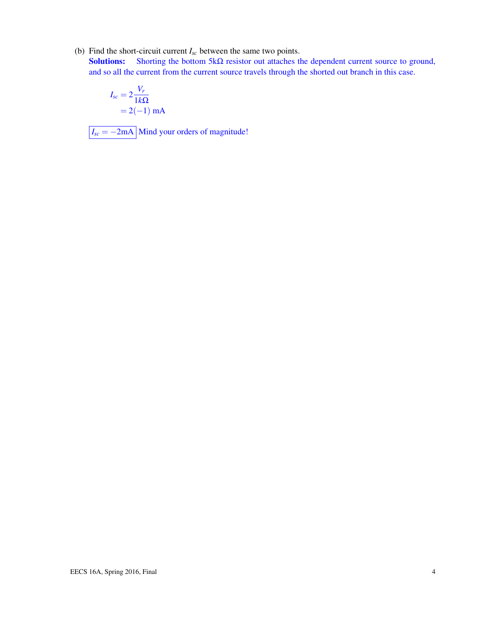(b) Find the short-circuit current *Isc* between the same two points.

Solutions: Shorting the bottom 5k $\Omega$  resistor out attaches the dependent current source to ground, and so all the current from the current source travels through the shorted out branch in this case.

$$
I_{sc} = 2\frac{V_r}{1k\Omega}
$$
  
= 2(-1) mA

 $\boxed{I_{sc} = -2 \text{mA}}$  Mind your orders of magnitude!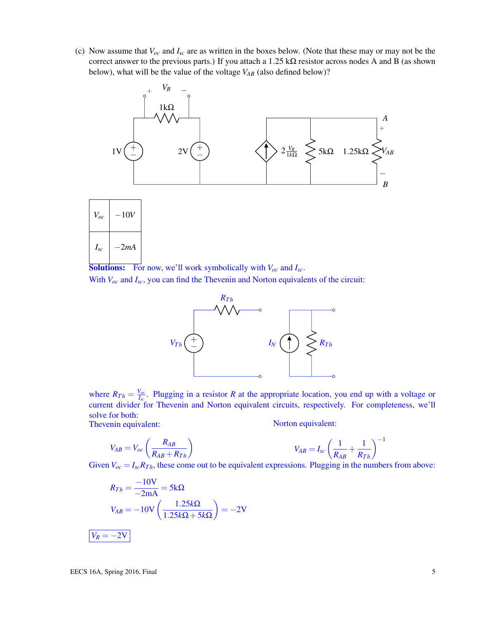(c) Now assume that *Voc* and *Isc* are as written in the boxes below. (Note that these may or may not be the correct answer to the previous parts.) If you attach a  $1.25 \text{ k}\Omega$  resistor across nodes A and B (as shown below), what will be the value of the voltage  $V_{AB}$  (also defined below)?



**Solutions:** For now, we'll work symbolically with  $V_{oc}$  and  $I_{sc}$ . With  $V_{oc}$  and  $I_{sc}$ , you can find the Thevenin and Norton equivalents of the circuit:



where  $R_{Th} = \frac{V_{oc}}{I_{eq}}$  $I_{I_{SC}}^{V_{OC}}$ . Plugging in a resistor *R* at the appropriate location, you end up with a voltage or current divider for Thevenin and Norton equivalent circuits, respectively. For completeness, we'll solve for both:

Thevenin equivalent:

Norton equivalent:

$$
V_{AB}=V_{oc}\left(\frac{R_{AB}}{R_{AB}+R_{Th}}\right)
$$

$$
V_{AB} = I_{sc} \left(\frac{1}{R_{AB}} + \frac{1}{R_{Th}}\right)^{-1}
$$

Given  $V_{oc} = I_{sc}R_{Th}$ , these come out to be equivalent expressions. Plugging in the numbers from above:

$$
R_{Th} = \frac{-10V}{-2mA} = 5k\Omega
$$

$$
V_{AB} = -10V\left(\frac{1.25k\Omega}{1.25k\Omega + 5k\Omega}\right) = -2V
$$

$$
V_R = -2V
$$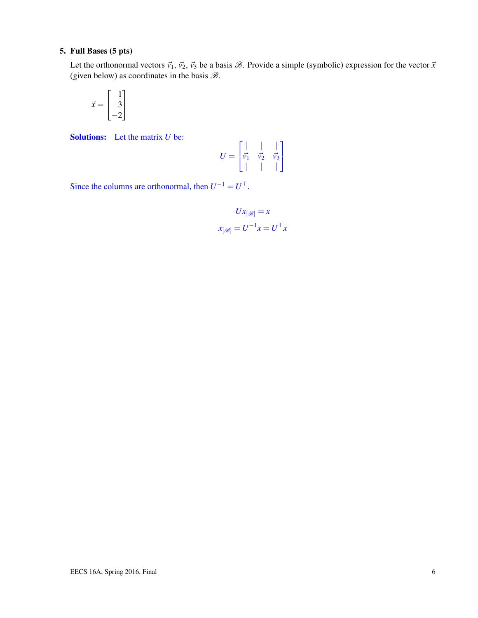#### 5. Full Bases (5 pts)

Let the orthonormal vectors  $\vec{v_1}$ ,  $\vec{v_2}$ ,  $\vec{v_3}$  be a basis  $\mathcal{B}$ . Provide a simple (symbolic) expression for the vector  $\vec{x}$ (given below) as coordinates in the basis  $\mathcal{B}$ .

$$
\vec{x} = \begin{bmatrix} 1 \\ 3 \\ -2 \end{bmatrix}
$$

Solutions: Let the matrix *U* be:

$$
U = \begin{bmatrix} | & | & | \\ \vec{v_1} & \vec{v_2} & \vec{v_3} \\ | & | & | & | \end{bmatrix}
$$

Since the columns are orthonormal, then  $U^{-1} = U^{\top}$ .

$$
Ux_{[\mathscr{B}]} = x
$$

$$
x_{[\mathscr{B}]} = U^{-1}x = U^{\top}x
$$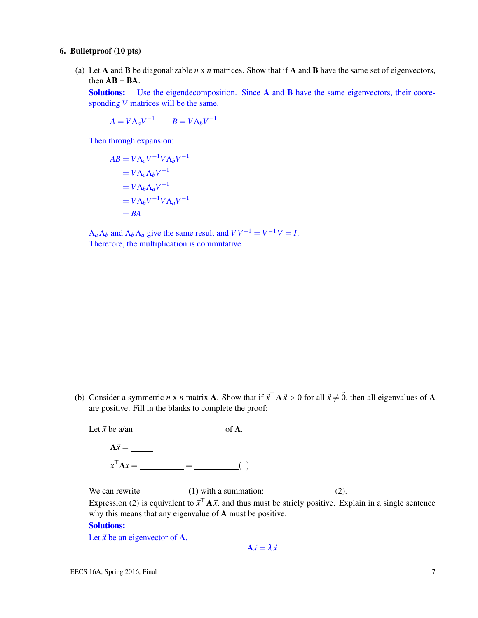#### 6. Bulletproof (10 pts)

(a) Let A and B be diagonalizable *n* x *n* matrices. Show that if A and B have the same set of eigenvectors, then  $AB = BA$ .

Solutions: Use the eigendecomposition. Since A and B have the same eigenvectors, their cooresponding *V* matrices will be the same.

 $A = V \Lambda_a V^{-1}$  *B* =  $V \Lambda_b V^{-1}$ 

Then through expansion:

$$
AB = V\Lambda_a V^{-1} V\Lambda_b V^{-1}
$$
  
=  $V\Lambda_a \Lambda_b V^{-1}$   
=  $V\Lambda_b \Lambda_a V^{-1}$   
=  $V\Lambda_b V^{-1} V\Lambda_a V^{-1}$   
= BA

 $\Lambda_a \Lambda_b$  and  $\Lambda_b \Lambda_a$  give the same result and  $VV^{-1} = V^{-1}V = I$ . Therefore, the multiplication is commutative.

(b) Consider a symmetric *n* x *n* matrix **A**. Show that if  $\vec{x}^{\top} A \vec{x} > 0$  for all  $\vec{x} \neq \vec{0}$ , then all eigenvalues of **A** are positive. Fill in the blanks to complete the proof:

Let  $\vec{x}$  be a/an of A. A~*x* = *x* <sup>&</sup>gt;A*x* = = (1)

We can rewrite  $(1)$  with a summation:  $(2)$ . Expression (2) is equivalent to  $\vec{x}^{\top} A \vec{x}$ , and thus must be stricly positive. Explain in a single sentence why this means that any eigenvalue of A must be positive.

#### Solutions:

Let  $\vec{x}$  be an eigenvector of **A**.

 $A\vec{x} = \lambda \vec{x}$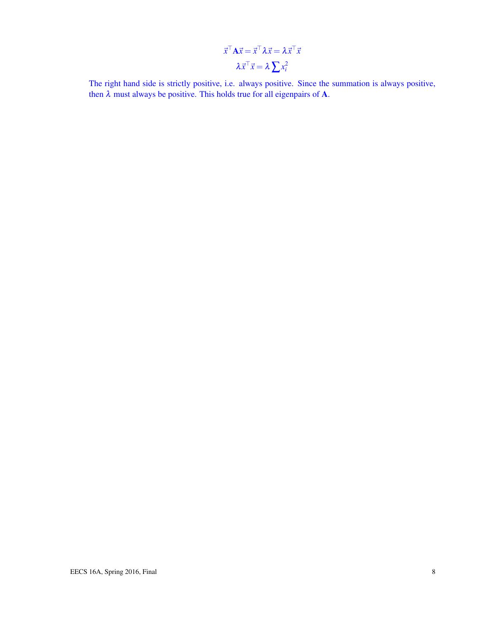$$
\vec{x}^{\top} \mathbf{A} \vec{x} = \vec{x}^{\top} \lambda \vec{x} = \lambda \vec{x}^{\top} \vec{x}
$$

$$
\lambda \vec{x}^{\top} \vec{x} = \lambda \sum x_i^2
$$

The right hand side is strictly positive, i.e. always positive. Since the summation is always positive, then  $\lambda$  must always be positive. This holds true for all eigenpairs of **A**.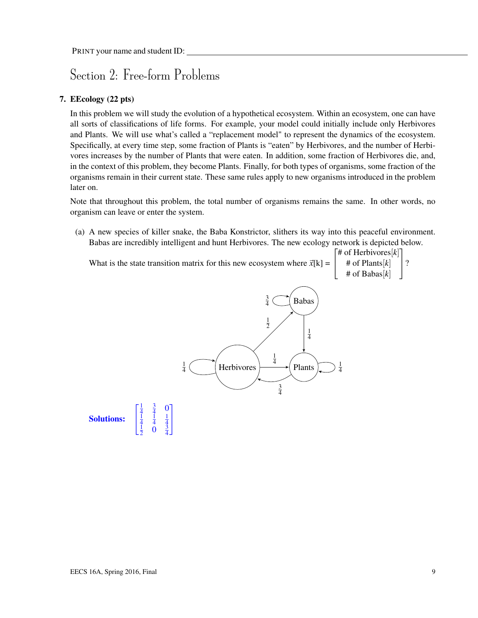### Section 2: Free-form Problems

#### 7. EEcology (22 pts)

In this problem we will study the evolution of a hypothetical ecosystem. Within an ecosystem, one can have all sorts of classifications of life forms. For example, your model could initially include only Herbivores and Plants. We will use what's called a "replacement model" to represent the dynamics of the ecosystem. Specifically, at every time step, some fraction of Plants is "eaten" by Herbivores, and the number of Herbivores increases by the number of Plants that were eaten. In addition, some fraction of Herbivores die, and, in the context of this problem, they become Plants. Finally, for both types of organisms, some fraction of the organisms remain in their current state. These same rules apply to new organisms introduced in the problem later on.

Note that throughout this problem, the total number of organisms remains the same. In other words, no organism can leave or enter the system.

(a) A new species of killer snake, the Baba Konstrictor, slithers its way into this peaceful environment. Babas are incredibly intelligent and hunt Herbivores. The new ecology network is depicted below.

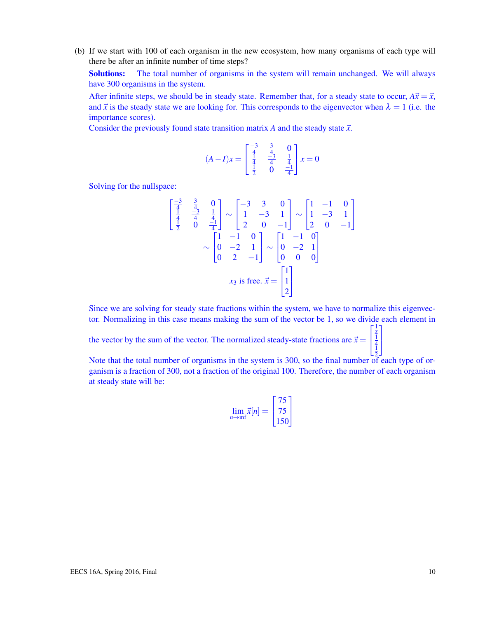(b) If we start with 100 of each organism in the new ecosystem, how many organisms of each type will there be after an infinite number of time steps?

Solutions: The total number of organisms in the system will remain unchanged. We will always have 300 organisms in the system.

After infinite steps, we should be in steady state. Remember that, for a steady state to occur,  $A\vec{x} = \vec{x}$ , and  $\vec{x}$  is the steady state we are looking for. This corresponds to the eigenvector when  $\lambda = 1$  (i.e. the importance scores).

Consider the previously found state transition matrix *A* and the steady state  $\vec{x}$ .

$$
(A - I)x = \begin{bmatrix} \frac{-3}{4} & \frac{3}{4} & 0\\ \frac{1}{4} & \frac{-3}{4} & \frac{1}{4} \\ \frac{1}{2} & 0 & \frac{-1}{4} \end{bmatrix} x = 0
$$

Solving for the nullspace:

$$
\begin{bmatrix} \frac{-3}{4} & \frac{3}{4} & 0 \\ \frac{1}{4} & \frac{-3}{4} & \frac{1}{4} \\ \frac{1}{2} & 0 & \frac{-1}{4} \end{bmatrix} \sim \begin{bmatrix} -3 & 3 & 0 \\ 1 & -3 & 1 \\ 2 & 0 & -1 \end{bmatrix} \sim \begin{bmatrix} 1 & -1 & 0 \\ 1 & -3 & 1 \\ 2 & 0 & -1 \end{bmatrix}
$$

$$
\sim \begin{bmatrix} 1 & -1 & 0 \\ 0 & -2 & 1 \\ 0 & 2 & -1 \end{bmatrix} \sim \begin{bmatrix} 1 & -1 & 0 \\ 0 & -2 & 1 \\ 0 & 0 & 0 \end{bmatrix}
$$

$$
x_3 \text{ is free. } \vec{x} = \begin{bmatrix} 1 \\ 1 \\ 2 \end{bmatrix}
$$

Since we are solving for steady state fractions within the system, we have to normalize this eigenvector. Normalizing in this case means making the sum of the vector be 1, so we divide each element in

the vector by the sum of the vector. The normalized steady-state fractions are  $\vec{x} =$  $\mathbf{I}$ 

2 Note that the total number of organisms in the system is 300, so the final number of each type of organism is a fraction of 300, not a fraction of the original 100. Therefore, the number of each organism at steady state will be:

$$
\lim_{n \to \inf} \vec{x}[n] = \begin{bmatrix} 75 \\ 75 \\ 150 \end{bmatrix}
$$

 $\sqrt{ }$ 

1  $\mathbf{I}$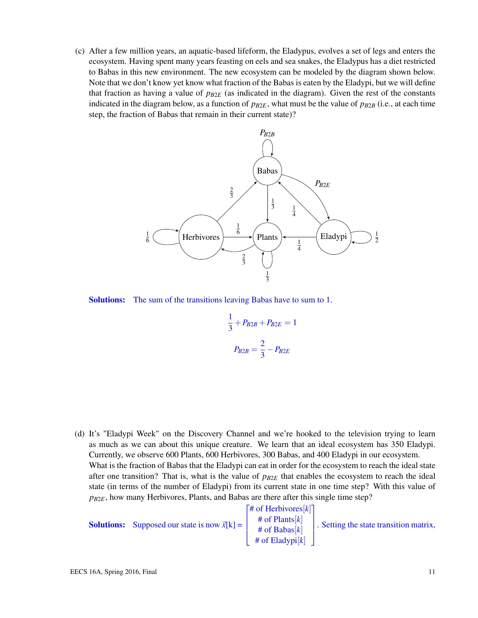(c) After a few million years, an aquatic-based lifeform, the Eladypus, evolves a set of legs and enters the ecosystem. Having spent many years feasting on eels and sea snakes, the Eladypus has a diet restricted to Babas in this new environment. The new ecosystem can be modeled by the diagram shown below. Note that we don't know yet know what fraction of the Babas is eaten by the Eladypi, but we will define that fraction as having a value of  $p_{B2E}$  (as indicated in the diagram). Given the rest of the constants indicated in the diagram below, as a function of  $p_{B2E}$ , what must be the value of  $p_{B2B}$  (i.e., at each time step, the fraction of Babas that remain in their current state)?



Solutions: The sum of the transitions leaving Babas have to sum to 1.

$$
\frac{1}{3} + P_{B2B} + P_{B2E} = 1
$$

$$
P_{B2B} = \frac{2}{3} - P_{B2E}
$$

(d) It's "Eladypi Week" on the Discovery Channel and we're hooked to the television trying to learn as much as we can about this unique creature. We learn that an ideal ecosystem has 350 Eladypi. Currently, we observe 600 Plants, 600 Herbivores, 300 Babas, and 400 Eladypi in our ecosystem. What is the fraction of Babas that the Eladypi can eat in order for the ecosystem to reach the ideal state after one transition? That is, what is the value of  $p_{B2E}$  that enables the ecosystem to reach the ideal state (in terms of the number of Eladypi) from its current state in one time step? With this value of *pB*2*E*, how many Herbivores, Plants, and Babas are there after this single time step?

**Solutions:** Supposed our state is now  $\vec{x}[k]$  = F  $\parallel$ # of Herbivores[*k*] # of Plants[*k*] # of Babas[*k*] # of Eladypi[*k*] . Setting the state transition matrix,  $\mathbf{I}$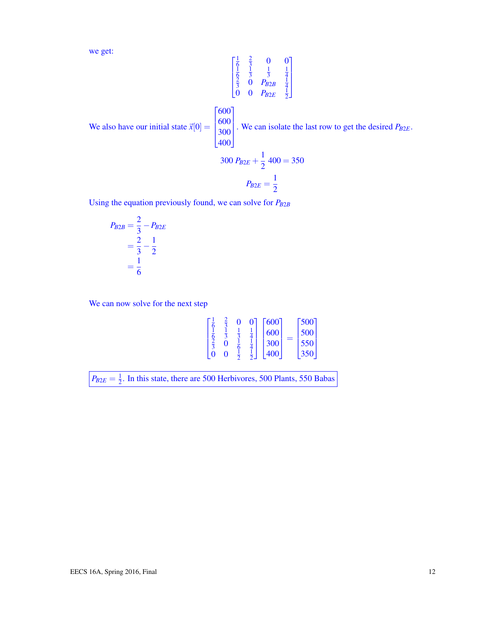we get:

$$
\begin{bmatrix} \frac{1}{6} & \frac{2}{3} & 0 & 0 \\ \frac{1}{6} & \frac{1}{3} & \frac{1}{3} & \frac{1}{4} \\ \frac{2}{3} & 0 & P_{B2B} & \frac{1}{4} \\ 0 & 0 & P_{B2E} & \frac{1}{2} \end{bmatrix}
$$

 $\lceil 600 \rceil$ 

We also have our initial state  $\vec{x}[0] =$ 

 $\overline{\phantom{a}}$ 600 300  $|400|$  $\parallel$ . We can isolate the last row to get the desired *PB*2*E*. 1

$$
300 P_{B2E} + \frac{1}{2} 400 = 350
$$

$$
P_{B2E} = \frac{1}{2}
$$

Using the equation previously found, we can solve for *PB*2*<sup>B</sup>*

$$
P_{B2B} = \frac{2}{3} - P_{B2E}
$$
  
=  $\frac{2}{3} - \frac{1}{2}$   
=  $\frac{1}{6}$ 

We can now solve for the next step

|   | п |   | 600<br>600<br>300 | $\lceil 500 \rceil$<br>500<br>550 |
|---|---|---|-------------------|-----------------------------------|
| O | 0 | ⊼ | 400               | .350'                             |

 $P_{B2E}=\frac{1}{2}$  $\frac{1}{2}$ . In this state, there are 500 Herbivores, 500 Plants, 550 Babas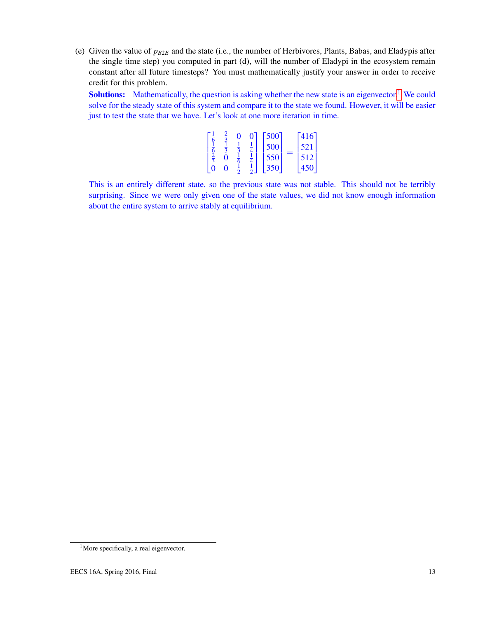(e) Given the value of *pB*2*<sup>E</sup>* and the state (i.e., the number of Herbivores, Plants, Babas, and Eladypis after the single time step) you computed in part (d), will the number of Eladypi in the ecosystem remain constant after all future timesteps? You must mathematically justify your answer in order to receive credit for this problem.

**Solutions:** Mathematically, the question is asking whether the new state is an eigenvector.<sup>[1](#page-12-0)</sup> We could solve for the steady state of this system and compare it to the state we found. However, it will be easier just to test the state that we have. Let's look at one more iteration in time.

|  | 0 | 500 | $-416$ |  |
|--|---|-----|--------|--|
|  |   | 500 | 521    |  |
|  |   | 550 | 512    |  |
|  |   | 350 | 450    |  |

This is an entirely different state, so the previous state was not stable. This should not be terribly surprising. Since we were only given one of the state values, we did not know enough information about the entire system to arrive stably at equilibrium.

<span id="page-12-0"></span><sup>&</sup>lt;sup>1</sup>More specifically, a real eigenvector.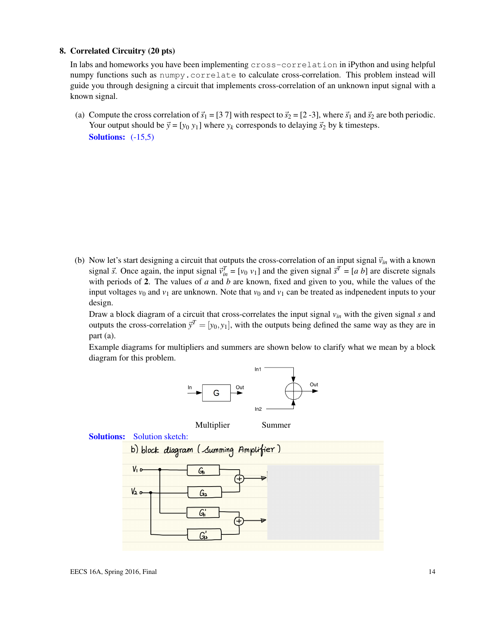#### 8. Correlated Circuitry (20 pts)

In labs and homeworks you have been implementing cross-correlation in iPython and using helpful numpy functions such as  $\text{number}$ . correlate to calculate cross-correlation. This problem instead will guide you through designing a circuit that implements cross-correlation of an unknown input signal with a known signal.

(a) Compute the cross correlation of  $\vec{s}_1 = [3 7]$  with respect to  $\vec{s}_2 = [2 -3]$ , where  $\vec{s}_1$  and  $\vec{s}_2$  are both periodic. Your output should be  $\vec{y} = [y_0 y_1]$  where  $y_k$  corresponds to delaying  $\vec{s}_2$  by k timesteps. Solutions:  $(-15,5)$ 

(b) Now let's start designing a circuit that outputs the cross-correlation of an input signal  $\vec{v}_{in}$  with a known signal  $\vec{s}$ . Once again, the input signal  $\vec{v}_{in}^T = [v_0 \ v_1]$  and the given signal  $\vec{s}^T = [a \ b]$  are discrete signals with periods of 2. The values of *a* and *b* are known, fixed and given to you, while the values of the input voltages  $v_0$  and  $v_1$  are unknown. Note that  $v_0$  and  $v_1$  can be treated as indpenedent inputs to your design.

Draw a block diagram of a circuit that cross-correlates the input signal *vin* with the given signal *s* and outputs the cross-correlation  $\vec{y}^T = [y_0, y_1]$ , with the outputs being defined the same way as they are in part (a).

Example diagrams for multipliers and summers are shown below to clarify what we mean by a block diagram for this problem.



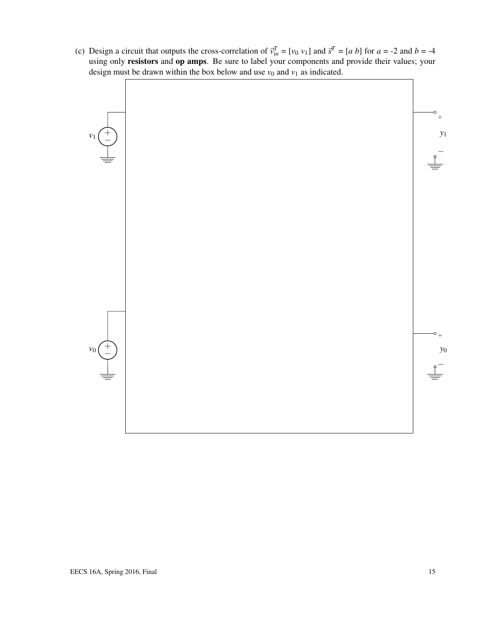(c) Design a circuit that outputs the cross-correlation of  $\vec{v}_{in}^T = [v_0 \ v_1]$  and  $\vec{s}^T = [a \ b]$  for  $a = -2$  and  $b = -4$ using only resistors and op amps. Be sure to label your components and provide their values; your design must be drawn within the box below and use  $v_0$  and  $v_1$  as indicated.

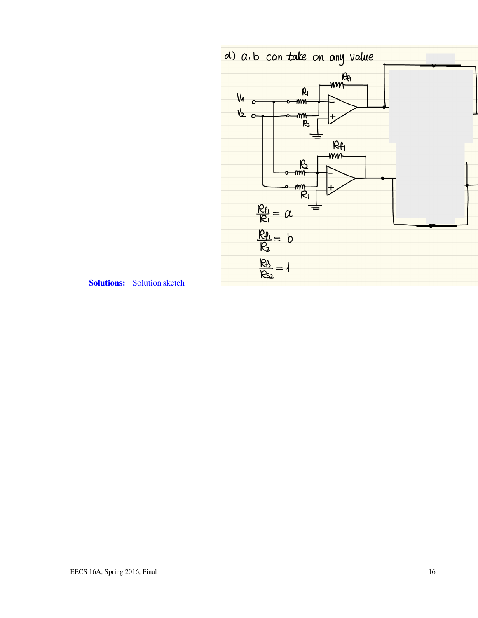

Solutions: Solution sketch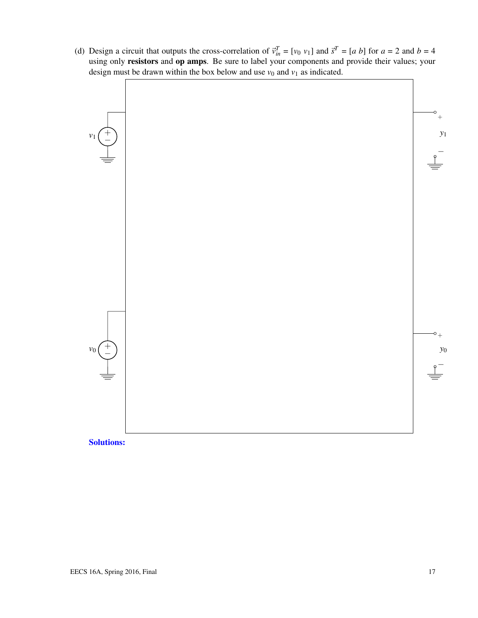(d) Design a circuit that outputs the cross-correlation of  $\vec{v}_{in}^T = [v_0 \ v_1]$  and  $\vec{s}^T = [a \ b]$  for  $a = 2$  and  $b = 4$ using only resistors and op amps. Be sure to label your components and provide their values; your design must be drawn within the box below and use  $v_0$  and  $v_1$  as indicated.



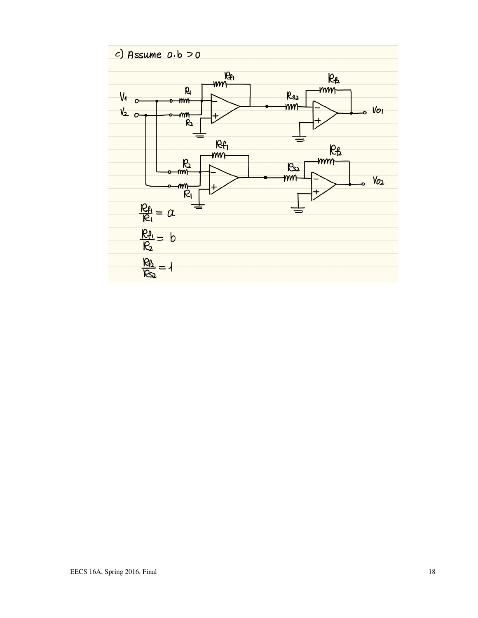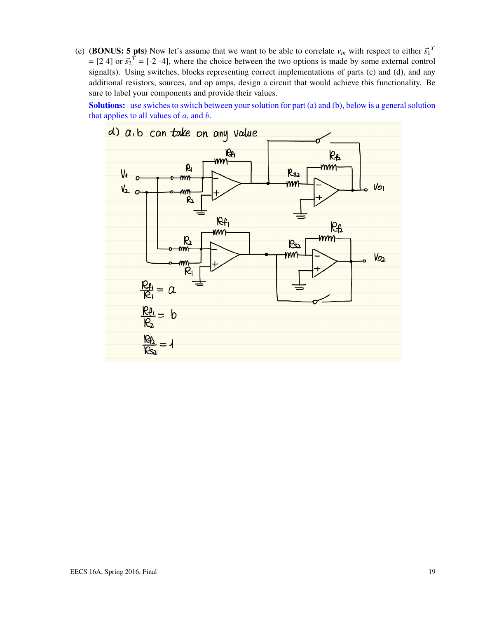(e) (BONUS: 5 pts) Now let's assume that we want to be able to correlate  $v_{in}$  with respect to either  $\vec{s_1}^T$  $=[2 4]$  or  $\vec{s_2}^T = [-2 -4]$ , where the choice between the two options is made by some external control signal(s). Using switches, blocks representing correct implementations of parts (c) and (d), and any additional resistors, sources, and op amps, design a circuit that would achieve this functionality. Be sure to label your components and provide their values.

Solutions: use swiches to switch between your solution for part (a) and (b), below is a general solution that applies to all values of *a*, and *b*.

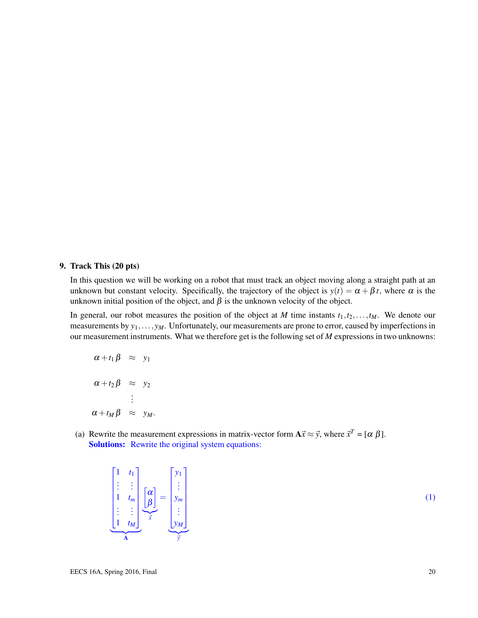#### 9. Track This (20 pts)

In this question we will be working on a robot that must track an object moving along a straight path at an unknown but constant velocity. Specifically, the trajectory of the object is  $y(t) = \alpha + \beta t$ , where  $\alpha$  is the unknown initial position of the object, and  $\beta$  is the unknown velocity of the object.

In general, our robot measures the position of the object at *M* time instants  $t_1, t_2, \ldots, t_M$ . We denote our measurements by  $y_1, \ldots, y_M$ . Unfortunately, our measurements are prone to error, caused by imperfections in our measurement instruments. What we therefore get is the following set of *M* expressions in two unknowns:

$$
\alpha + t_1 \beta \approx y_1
$$
  
\n
$$
\alpha + t_2 \beta \approx y_2
$$
  
\n:  
\n
$$
\alpha + t_M \beta \approx y_M.
$$

(a) Rewrite the measurement expressions in matrix-vector form  $A\vec{x} \approx \vec{y}$ , where  $\vec{x}^T = [\alpha \beta]$ . Solutions: Rewrite the original system equations:

$$
\begin{bmatrix} 1 & t_1 \\ \vdots & \vdots \\ 1 & t_m \\ \vdots & \vdots \\ 1 & t_M \end{bmatrix} \begin{bmatrix} \alpha \\ \beta \end{bmatrix} = \begin{bmatrix} y_1 \\ \vdots \\ y_m \\ \vdots \\ y_M \end{bmatrix}
$$

(1)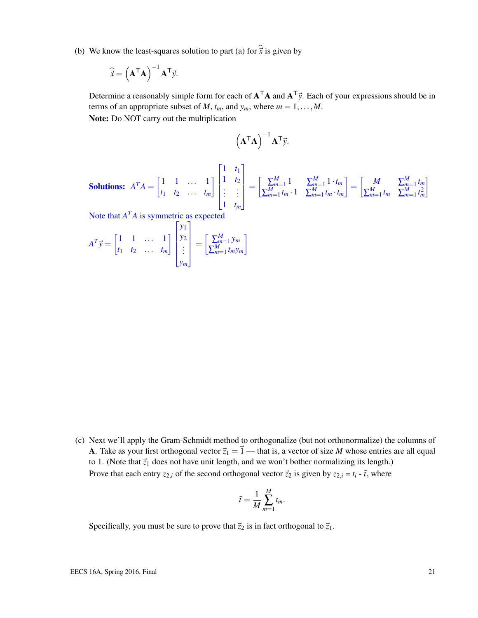(b) We know the least-squares solution to part (a) for  $\hat{\vec{x}}$  is given by

$$
\widehat{\vec{x}} = \left(\mathbf{A}^{\mathsf{T}} \mathbf{A}\right)^{-1} \mathbf{A}^{\mathsf{T}} \vec{y}.
$$

Determine a reasonably simple form for each of  $A<sup>T</sup>A$  and  $A<sup>T</sup>y$ . Each of your expressions should be in terms of an appropriate subset of *M*,  $t_m$ , and  $y_m$ , where  $m = 1, \ldots, M$ . Note: Do NOT carry out the multiplication

$$
\left(\mathbf{A}^{\mathsf{T}}\mathbf{A}\right)^{-1}\mathbf{A}^{\mathsf{T}}\vec{\mathbf{y}}.
$$

**Solutions:**  $A^T A = \begin{bmatrix} 1 & 1 & \cdots & 1 \\ 1 & 1 & \cdots & 1 \end{bmatrix}$ *t*<sup>1</sup> *t*<sup>2</sup> ... *t<sup>m</sup>* 1  $\sqrt{ }$  $\begin{array}{c} \n \downarrow \\ \n \downarrow \n \end{array}$ 1 *t*<sup>1</sup> 1 *t*<sup>2</sup> . . . . . . 1 *t<sup>m</sup>* 1  $\parallel$  $=\left[\begin{array}{cc} \sum_{m=1}^{M} 1 & \sum_{m=1}^{M} 1 \cdot t_m \end{array}\right]$  $\sum_{m=1}^{M} t_m \cdot 1$   $\sum_{m=1}^{M} t_m \cdot t_m$  $\begin{bmatrix} M & \sum_{m=1}^{M} t_m \end{bmatrix}$  $\sum_{m=1}^{M} t_m$   $\sum_{m=1}^{M} t_m^2$ 1

Note that  $A^T A$  is symmetric as expected

$$
A^T \vec{y} = \begin{bmatrix} 1 & 1 & \dots & 1 \\ t_1 & t_2 & \dots & t_m \end{bmatrix} \begin{bmatrix} y_1 \\ y_2 \\ \vdots \\ y_m \end{bmatrix} = \begin{bmatrix} \sum_{m=1}^M y_m \\ \sum_{m=1}^M t_m y_m \end{bmatrix}
$$

(c) Next we'll apply the Gram-Schmidt method to orthogonalize (but not orthonormalize) the columns of A. Take as your first orthogonal vector  $\vec{z}_1 = \vec{1}$  — that is, a vector of size *M* whose entries are all equal to 1. (Note that  $\vec{z}_1$  does not have unit length, and we won't bother normalizing its length.) Prove that each entry  $z_{2,i}$  of the second orthogonal vector  $\vec{z}_2$  is given by  $z_{2,i} = t_i - \vec{t}$ , where

$$
\bar{t} = \frac{1}{M} \sum_{m=1}^{M} t_m.
$$

Specifically, you must be sure to prove that  $\vec{z}_2$  is in fact orthogonal to  $\vec{z}_1$ .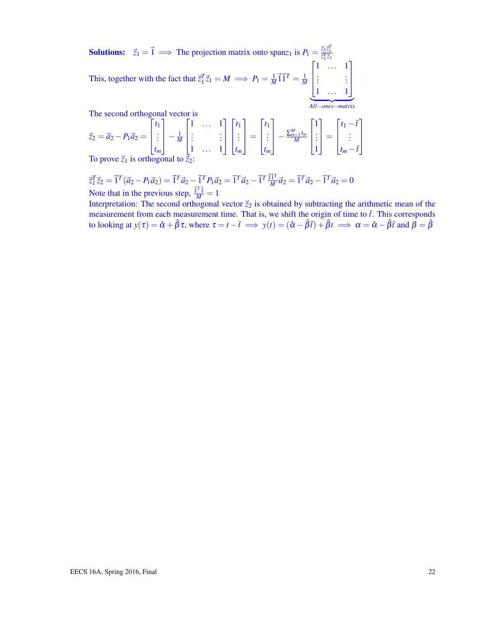**Solutions:**  $\vec{z}_1 = \vec{1} \implies \text{The projection matrix onto } \text{span} z_1 \text{ is } P_1 = \frac{\vec{z}_1 \vec{z}_1^T}{\vec{z}_1^T \vec{z}_1}$ This, together with the fact that  $\vec{z}_1^T \vec{z}_1 = M \implies P_1 = \frac{1}{M} \vec{1} \vec{1}^T = \frac{1}{M}$  $\sqrt{ }$  $\mathbf{I}$ 1 ... 1 . . . . . . 1 ... 1 1  $\overline{\phantom{a}}$  $\overline{All-ones-matrix}$ *All*−*ones*−*matrix*

The second orthogonal vector is

$$
\vec{z}_2 = \vec{a}_2 - P_1 \vec{a}_2 = \begin{bmatrix} t_1 \\ \vdots \\ t_m \end{bmatrix} - \frac{1}{M} \begin{bmatrix} 1 & \cdots & 1 \\ \vdots & & \vdots \\ 1 & \cdots & 1 \end{bmatrix} \begin{bmatrix} t_1 \\ \vdots \\ t_m \end{bmatrix} = \begin{bmatrix} t_1 \\ \vdots \\ t_m \end{bmatrix} - \frac{\sum_{m=1}^{M} t_m}{M} \begin{bmatrix} 1 \\ \vdots \\ 1 \end{bmatrix} = \begin{bmatrix} t_1 - \bar{t} \\ \vdots \\ t_m - \bar{t} \end{bmatrix}
$$
  
To prove  $\vec{z}_1$  is orthogonal to  $\vec{z}_2$ :

To prove  $\zeta_1$  is orthogonal to  $\zeta_2$ :

$$
\vec{z}_1^T \vec{z}_2 = \vec{1}^T (\vec{a}_2 - P_1 \vec{a}_2) = \vec{1}^T \vec{a}_2 - \vec{1}^T P_1 \vec{a}_2 = \vec{1}^T \vec{a}_2 - \vec{1}^T \frac{\vec{1} \vec{1}^T}{M} \vec{a}_2 = \vec{1}^T \vec{a}_2 - \vec{1}^T \vec{a}_2 = 0
$$
  
Note that in the previous step,  $\frac{\vec{1}^T \vec{1}}{M} = 1$ 

Interpretation: The second orthogonal vector  $\vec{z}_2$  is obtained by subtracting the arithmetic mean of the measurement from each measurement time. That is, we shift the origin of time to  $\bar{t}$ . This corresponds to looking at  $y(\tau) = \hat{\alpha} + \hat{\beta}\tau$ , where  $\tau = t - \bar{t} \implies y(t) = (\hat{\alpha} - \hat{\beta}\bar{t}) + \hat{\beta}t \implies \alpha = \hat{\alpha} - \hat{\beta}\bar{t}$  and  $\hat{\beta} = \hat{\beta}$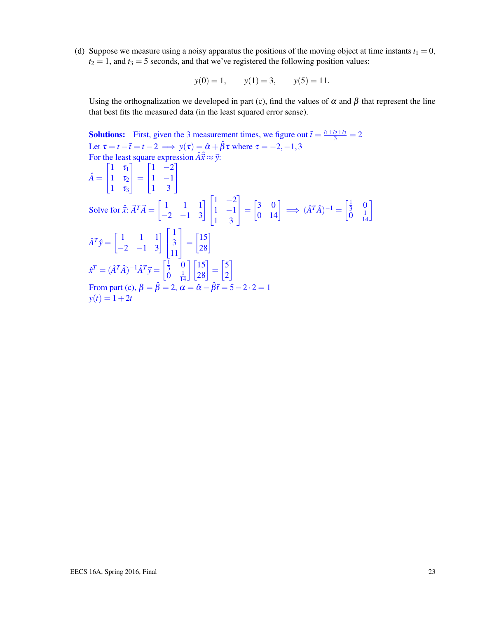(d) Suppose we measure using a noisy apparatus the positions of the moving object at time instants  $t_1 = 0$ ,  $t_2 = 1$ , and  $t_3 = 5$  seconds, and that we've registered the following position values:

$$
y(0) = 1,
$$
  $y(1) = 3,$   $y(5) = 11.$ 

Using the orthognalization we developed in part (c), find the values of  $\alpha$  and  $\beta$  that represent the line that best fits the measured data (in the least squared error sense).

**Solutions:** First, given the 3 measurement times, we figure out  $\bar{t} = \frac{t_1 + t_2 + t_3}{3} = 2$ Let  $\tau = t - \bar{t} = t - 2 \implies y(\tau) = \hat{\alpha} + \hat{\beta}\tau$  where  $\tau = -2, -1, 3$ For the least square expression  $\hat{A}\hat{x} \approx \vec{y}$ :  $\hat{A} =$  $\sqrt{ }$  $\overline{1}$  $1 \quad \tau_1$ 1  $\tau_2$  $1 \quad \tau_3$ 1  $\vert$  =  $\sqrt{ }$  $\mathbf{I}$  $1 -2$ 1 −1 1 3 1  $\mathbf{I}$ Solve for  $\hat{\vec{x}}$ :  $\vec{A}^T \vec{A} = \begin{bmatrix} 1 & 1 & 1 \\ -2 & -1 & 3 \end{bmatrix} \begin{bmatrix} 1 & 1 & 1 \\ 1 & 1 & 1 \\ 0 & -1 & 1 \end{bmatrix}$  $\overline{1}$  $1 -2$ 1 −1 1 3 1  $\begin{bmatrix} 3 & 0 \\ 0 & 14 \end{bmatrix} \implies (\hat{A}^T\hat{A})^{-1} = \begin{bmatrix} \frac{1}{3} & 0 \\ 0 & \frac{1}{14} \end{bmatrix}$  $\overline{0}$   $\frac{1}{12}$ 14 1  $\hat{A}^T \hat{y} = \begin{bmatrix} 1 & 1 & 1 \\ -2 & -1 & 3 \end{bmatrix}$  $\mathbf{I}$ 1 3 11 1  $= \begin{bmatrix} 15 \\ 28 \end{bmatrix}$  $\hat{x}^T = (\hat{A}^T \hat{A})^{-1} \hat{A}^T \vec{y} = \begin{bmatrix} \frac{1}{3} & 0 \\ 0 & 1 \end{bmatrix}$  $\frac{1}{14}$ 14  $\begin{bmatrix} 15 \\ 28 \end{bmatrix} = \begin{bmatrix} 5 \\ 2 \end{bmatrix}$ 2 1 From part (c),  $\beta = \hat{\beta} = 2$ ,  $\alpha = \hat{\alpha} - \hat{\beta}\overline{t} = 5 - 2 \cdot 2 = 1$  $y(t) = 1 + 2t$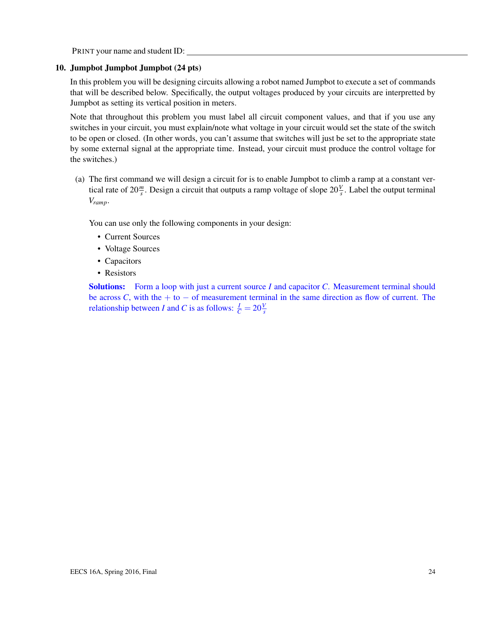PRINT your name and student ID:

#### 10. Jumpbot Jumpbot Jumpbot (24 pts)

In this problem you will be designing circuits allowing a robot named Jumpbot to execute a set of commands that will be described below. Specifically, the output voltages produced by your circuits are interpretted by Jumpbot as setting its vertical position in meters.

Note that throughout this problem you must label all circuit component values, and that if you use any switches in your circuit, you must explain/note what voltage in your circuit would set the state of the switch to be open or closed. (In other words, you can't assume that switches will just be set to the appropriate state by some external signal at the appropriate time. Instead, your circuit must produce the control voltage for the switches.)

(a) The first command we will design a circuit for is to enable Jumpbot to climb a ramp at a constant vertical rate of  $20 \frac{m}{s}$ . Design a circuit that outputs a ramp voltage of slope  $20 \frac{V}{s}$ . Label the output terminal *Vramp*.

You can use only the following components in your design:

- Current Sources
- Voltage Sources
- Capacitors
- Resistors

Solutions: Form a loop with just a current source *I* and capacitor *C*. Measurement terminal should be across *C*, with the  $+$  to  $-$  of measurement terminal in the same direction as flow of current. The relationship between *I* and *C* is as follows:  $\frac{I}{C} = 20 \frac{V}{s}$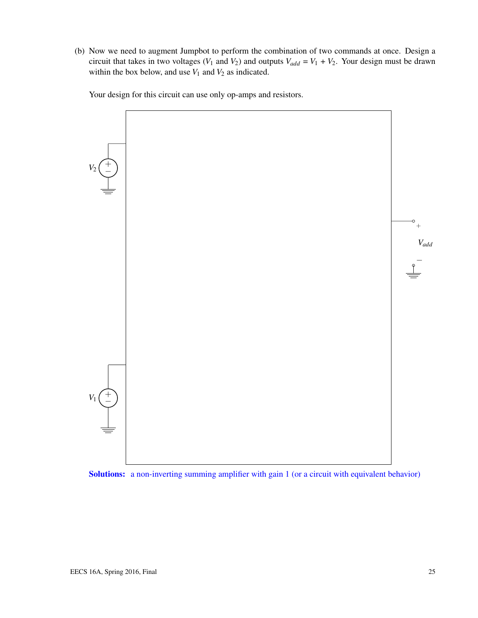(b) Now we need to augment Jumpbot to perform the combination of two commands at once. Design a circuit that takes in two voltages ( $V_1$  and  $V_2$ ) and outputs  $V_{add} = V_1 + V_2$ . Your design must be drawn within the box below, and use  $V_1$  and  $V_2$  as indicated.

Your design for this circuit can use only op-amps and resistors.



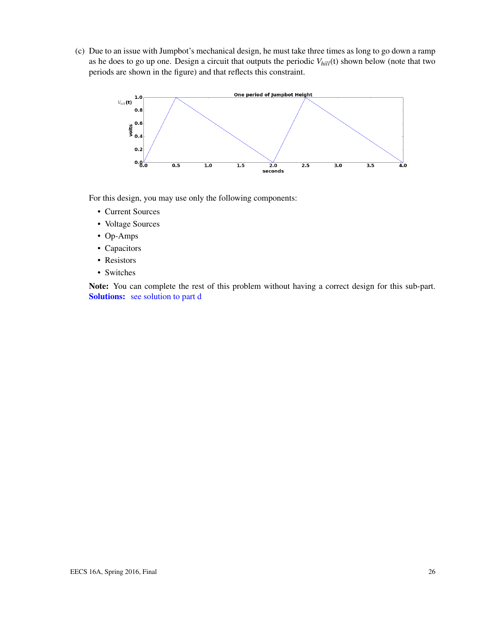(c) Due to an issue with Jumpbot's mechanical design, he must take three times as long to go down a ramp as he does to go up one. Design a circuit that outputs the periodic *Vhill*(t) shown below (note that two periods are shown in the figure) and that reflects this constraint.



For this design, you may use only the following components:

- Current Sources
- Voltage Sources
- Op-Amps
- Capacitors
- Resistors
- Switches

Note: You can complete the rest of this problem without having a correct design for this sub-part. Solutions: see solution to part d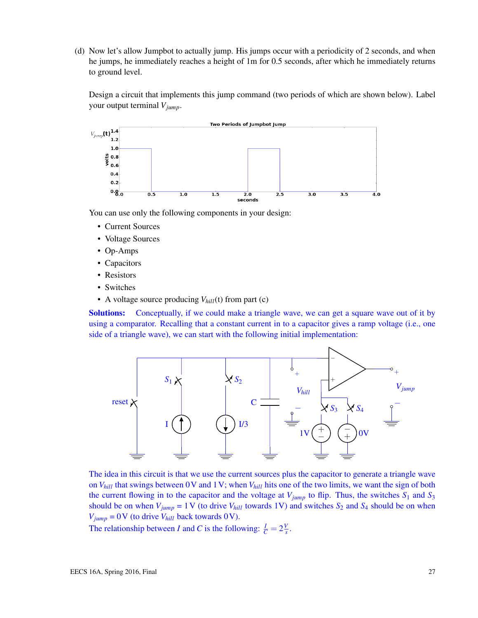(d) Now let's allow Jumpbot to actually jump. His jumps occur with a periodicity of 2 seconds, and when he jumps, he immediately reaches a height of 1m for 0.5 seconds, after which he immediately returns to ground level.

Design a circuit that implements this jump command (two periods of which are shown below). Label your output terminal *Vjump*.



You can use only the following components in your design:

- Current Sources
- Voltage Sources
- Op-Amps
- Capacitors
- Resistors
- Switches
- A voltage source producing  $V_{hill}$ (t) from part (c)

Solutions: Conceptually, if we could make a triangle wave, we can get a square wave out of it by using a comparator. Recalling that a constant current in to a capacitor gives a ramp voltage (i.e., one side of a triangle wave), we can start with the following initial implementation:



The idea in this circuit is that we use the current sources plus the capacitor to generate a triangle wave on *Vhill* that swings between 0V and 1V; when *Vhill* hits one of the two limits, we want the sign of both the current flowing in to the capacitor and the voltage at  $V_{jump}$  to flip. Thus, the switches  $S_1$  and  $S_3$ should be on when  $V_{jump} = 1$  V (to drive  $V_{hill}$  towards 1V) and switches  $S_2$  and  $S_4$  should be on when  $V_{jump} = 0$  V (to drive  $V_{hill}$  back towards 0 V).

The relationship between *I* and *C* is the following:  $\frac{I}{C} = 2\frac{V}{s}$  $\frac{V}{s}$ .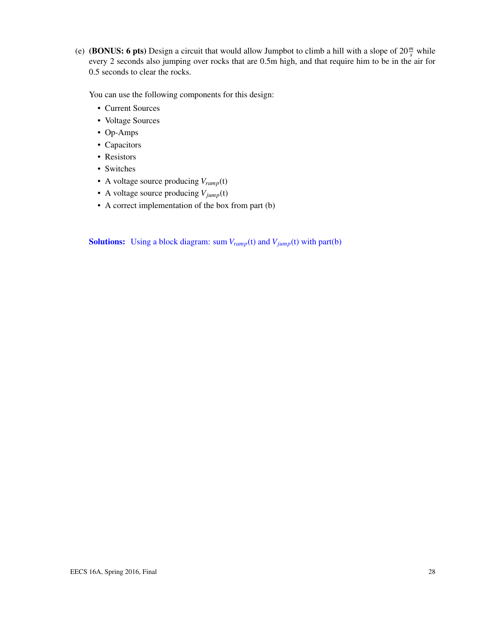(e) (**BONUS:** 6 pts) Design a circuit that would allow Jumpbot to climb a hill with a slope of  $20 \frac{m}{s}$  while every 2 seconds also jumping over rocks that are 0.5m high, and that require him to be in the air for 0.5 seconds to clear the rocks.

You can use the following components for this design:

- Current Sources
- Voltage Sources
- Op-Amps
- Capacitors
- Resistors
- Switches
- A voltage source producing *Vramp*(t)
- A voltage source producing *Vjump*(t)
- A correct implementation of the box from part (b)

**Solutions:** Using a block diagram: sum  $V_{ramp}(t)$  and  $V_{jump}(t)$  with part(b)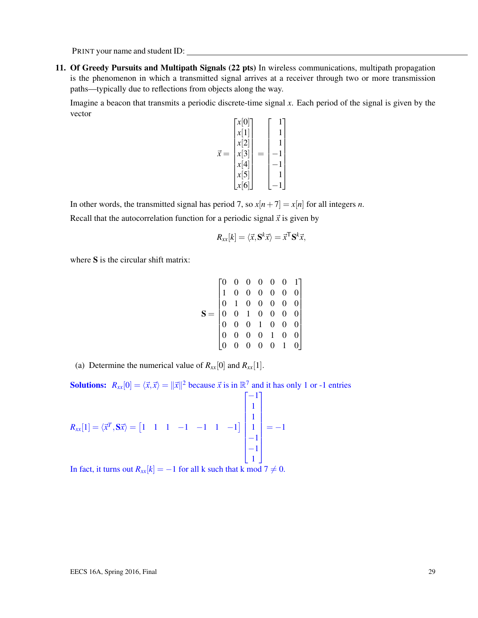PRINT your name and student ID:

11. Of Greedy Pursuits and Multipath Signals (22 pts) In wireless communications, multipath propagation is the phenomenon in which a transmitted signal arrives at a receiver through two or more transmission paths—typically due to reflections from objects along the way.

Imagine a beacon that transmits a periodic discrete-time signal *x*. Each period of the signal is given by the vector

$$
\vec{x} = \begin{bmatrix} x[0] \\ x[1] \\ x[2] \\ x[3] \\ x[4] \\ x[5] \\ x[6] \end{bmatrix} = \begin{bmatrix} 1 \\ 1 \\ 1 \\ -1 \\ -1 \\ -1 \\ -1 \end{bmatrix}
$$

In other words, the transmitted signal has period 7, so  $x[n+7] = x[n]$  for all integers *n*.

Recall that the autocorrelation function for a periodic signal  $\vec{x}$  is given by

$$
R_{xx}[k] = \langle \vec{x}, \mathbf{S}^k \vec{x} \rangle = \vec{x}^{\mathsf{T}} \mathbf{S}^k \vec{x},
$$

where S is the circular shift matrix:

$$
\mathbf{S} = \begin{bmatrix} 0 & 0 & 0 & 0 & 0 & 0 & 1 \\ 1 & 0 & 0 & 0 & 0 & 0 & 0 \\ 0 & 1 & 0 & 0 & 0 & 0 & 0 \\ 0 & 0 & 1 & 0 & 0 & 0 & 0 \\ 0 & 0 & 0 & 1 & 0 & 0 & 0 \\ 0 & 0 & 0 & 0 & 1 & 0 & 0 \\ 0 & 0 & 0 & 0 & 0 & 1 & 0 \end{bmatrix}
$$

(a) Determine the numerical value of  $R_{xx}[0]$  and  $R_{xx}[1]$ .

**Solutions:**  $R_{xx}[0] = \langle \vec{x}, \vec{x} \rangle = ||\vec{x}||^2$  because  $\vec{x}$  is in  $\mathbb{R}^7$  and it has only 1 or -1 entries

 $R_{xx}[1] = \langle \vec{x}^T, S\vec{x} \rangle = \begin{bmatrix} 1 & 1 & 1 & -1 & -1 & 1 & -1 \end{bmatrix}$  $\lceil$   $-1$ 1 1 1 −1 −1 1 1  $=-1$ 

In fact, it turns out  $R_{xx}[k] = -1$  for all k such that k mod  $7 \neq 0$ .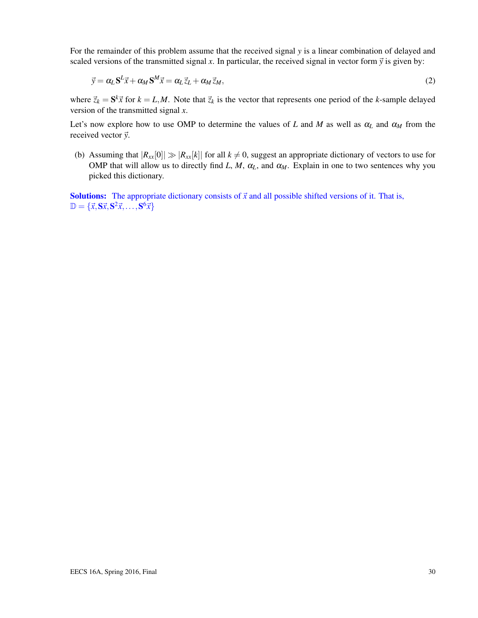For the remainder of this problem assume that the received signal *y* is a linear combination of delayed and scaled versions of the transmitted signal x. In particular, the received signal in vector form  $\vec{y}$  is given by:

$$
\vec{y} = \alpha_L \mathbf{S}^L \vec{x} + \alpha_M \mathbf{S}^M \vec{x} = \alpha_L \vec{z}_L + \alpha_M \vec{z}_M,\tag{2}
$$

where  $\vec{z}_k = \mathbf{S}^k \vec{x}$  for  $k = L, M$ . Note that  $\vec{z}_k$  is the vector that represents one period of the *k*-sample delayed version of the transmitted signal *x*.

Let's now explore how to use OMP to determine the values of *L* and *M* as well as  $\alpha_L$  and  $\alpha_M$  from the received vector  $\vec{y}$ .

(b) Assuming that  $|R_{xx}[0]| \gg |R_{xx}[k]|$  for all  $k \neq 0$ , suggest an appropriate dictionary of vectors to use for OMP that will allow us to directly find *L*, *M*,  $\alpha_L$ , and  $\alpha_M$ . Explain in one to two sentences why you picked this dictionary.

**Solutions:** The appropriate dictionary consists of  $\vec{x}$  and all possible shifted versions of it. That is,  $\mathbb{D} = {\vec{x}, \mathbf{S}\vec{x}, \mathbf{S}^2\vec{x}, \dots, \mathbf{S}^6\vec{x}}$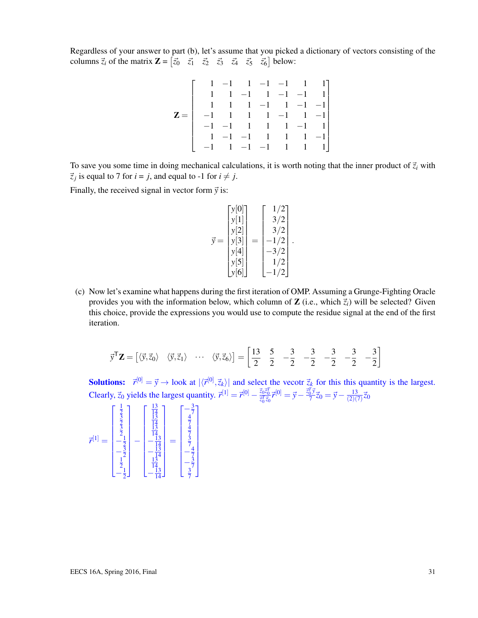Regardless of your answer to part (b), let's assume that you picked a dictionary of vectors consisting of the columns  $\vec{z}_i$  of the matrix  $\mathbf{Z} = \begin{bmatrix} \vec{z}_0 & \vec{z}_1 & \vec{z}_2 & \vec{z}_3 & \vec{z}_4 & \vec{z}_5 & \vec{z}_6 \end{bmatrix}$  below:

|                                                                  |                    |  |  | $1 \t -1 \t 1 \t -1 \t -1 \t 1 \t 1$                   |
|------------------------------------------------------------------|--------------------|--|--|--------------------------------------------------------|
|                                                                  |                    |  |  | $1 \quad 1 \quad -1 \quad 1 \quad -1 \quad -1 \quad 1$ |
|                                                                  |                    |  |  | $1 \quad 1 \quad 1 \quad -1 \quad 1 \quad -1 \quad -1$ |
| $Z = \begin{bmatrix} -1 & 1 & 1 & 1 & -1 & 1 & -1 \end{bmatrix}$ |                    |  |  |                                                        |
|                                                                  |                    |  |  | $-1$ $-1$ $1$ $1$ $-1$ $1$                             |
|                                                                  | $1 -1 -1 1 1 1 -1$ |  |  |                                                        |
|                                                                  |                    |  |  | $-1$ $1$ $-1$ $-1$ $1$ $1$ $1$                         |

To save you some time in doing mechanical calculations, it is worth noting that the inner product of  $\vec{z}_i$  with  $\vec{z}_j$  is equal to 7 for  $i = j$ , and equal to -1 for  $i \neq j$ .

Finally, the received signal in vector form  $\vec{y}$  is:

$$
\vec{y} = \begin{bmatrix} y[0] \\ y[1] \\ y[2] \\ y[3] \\ y[4] \\ y[5] \\ y[6] \end{bmatrix} = \begin{bmatrix} 1/2 \\ 3/2 \\ 3/2 \\ -1/2 \\ -3/2 \\ 1/2 \\ -1/2 \end{bmatrix}.
$$

(c) Now let's examine what happens during the first iteration of OMP. Assuming a Grunge-Fighting Oracle provides you with the information below, which column of **Z** (i.e., which  $\vec{z}_i$ ) will be selected? Given this choice, provide the expressions you would use to compute the residue signal at the end of the first iteration.

$$
\vec{y}^{\mathsf{T}}\mathbf{Z} = \begin{bmatrix} \langle \vec{y}, \vec{z}_0 \rangle & \langle \vec{y}, \vec{z}_1 \rangle & \cdots & \langle \vec{y}, \vec{z}_6 \rangle \end{bmatrix} = \begin{bmatrix} 13 & 5 & -3 & -3 & -3 & -3 & -3 \\ 2 & 2 & -2 & -2 & -3 & -3 \end{bmatrix}
$$

**Solutions:**  $\vec{r}^{[0]} = \vec{y} \rightarrow \text{look at } |\langle \vec{r}^{[0]}, \vec{z}_k \rangle|$  and select the vecotr  $\vec{z}_k$  for this this quantity is the largest. Clearly,  $\vec{z}_0$  yields the largest quantity.  $\vec{r}^{[1]} = \vec{r}^{[0]} - \frac{\vec{z}_0 \vec{z}_0^T}{\vec{z}_0^T \vec{z}_0} \vec{r}^{[0]} = \vec{y} - \frac{\vec{z}_0^T \vec{y}}{7}$  $\frac{1}{2}y^2\vec{z}_0 = \vec{y} - \frac{13}{(2)(\vec{z})^2}$  $\frac{13}{(2)(7)}\vec{z}_0$ 

$$
\vec{r}^{[1]} = \begin{bmatrix} \frac{1}{3} \\ \frac{3}{2} \\ \frac{3}{2} \\ -\frac{1}{2} \\ -\frac{3}{2} \\ -\frac{1}{2} \\ -\frac{1}{2} \end{bmatrix} - \begin{bmatrix} \frac{13}{14} \\ \frac{13}{14} \\ \frac{13}{14} \\ -\frac{13}{14} \\ -\frac{14}{14} \\ -\frac{13}{14} \\ -\frac{13}{14} \\ -\frac{13}{14} \\ -\frac{3}{14} \\ -\frac{3}{14} \\ -\frac{3}{14} \\ -\frac{3}{14} \\ -\frac{3}{14} \\ -\frac{3}{14} \\ -\frac{3}{14} \\ -\frac{3}{14} \end{bmatrix}
$$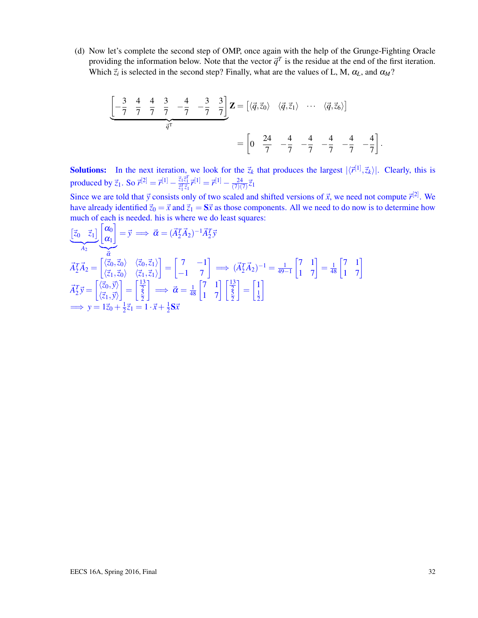(d) Now let's complete the second step of OMP, once again with the help of the Grunge-Fighting Oracle providing the information below. Note that the vector  $\vec{q}^T$  is the residue at the end of the first iteration. Which  $\vec{z}_i$  is selected in the second step? Finally, what are the values of L, M,  $\alpha_L$ , and  $\alpha_M$ ?

$$
\underbrace{\begin{bmatrix} -\frac{3}{7} & \frac{4}{7} & \frac{4}{7} & \frac{3}{7} & -\frac{4}{7} & -\frac{3}{7} & \frac{3}{7} \end{bmatrix}}_{\vec{q}^T} \mathbf{Z} = \begin{bmatrix} \langle \vec{q}, \vec{z}_0 \rangle & \langle \vec{q}, \vec{z}_1 \rangle & \cdots & \langle \vec{q}, \vec{z}_6 \rangle \end{bmatrix}
$$

$$
= \begin{bmatrix} 0 & \frac{24}{7} & -\frac{4}{7} & -\frac{4}{7} & -\frac{4}{7} & -\frac{4}{7} & -\frac{4}{7} \end{bmatrix}.
$$

**Solutions:** In the next iteration, we look for the  $\vec{z}_k$  that produces the largest  $|\langle \vec{r}^{[1]}, \vec{z}_k \rangle|$ . Clearly, this is produced by  $\vec{z}_1$ . So  $\vec{r}^{[2]} = \vec{r}^{[1]} - \frac{\vec{z}_1 \vec{z}_1^T}{\vec{z}_1^T \vec{z}_1} \vec{r}^{[1]} = \vec{r}^{[1]} - \frac{24}{(7)(7)}$  $\frac{24}{(7)(7)}\vec{z}_1$ 

Since we are told that  $\vec{y}$  consists only of two scaled and shifted versions of  $\vec{x}$ , we need not compute  $\vec{r}^{[2]}$ . We have already identified  $\vec{z}_0 = \vec{x}$  and  $\vec{z}_1 = S\vec{x}$  as those components. All we need to do now is to determine how much of each is needed. his is where we do least squares:

$$
\begin{aligned}\n\left[\vec{z}_{0} \quad \vec{z}_{1}\right] \left[\begin{matrix} \alpha_{0} \\ \alpha_{1} \end{matrix}\right] &= \vec{y} \implies \vec{\alpha} = (\vec{A}_{2}^{T} \vec{A}_{2})^{-1} \vec{A}_{2}^{T} \vec{y} \\
\vec{A}_{2}^{T} \vec{A}_{2} &= \begin{bmatrix} \langle \vec{z}_{0}, \vec{z}_{0} \rangle & \langle \vec{z}_{0}, \vec{z}_{1} \rangle \\ \langle \vec{z}_{1}, \vec{z}_{0} \rangle & \langle \vec{z}_{1}, \vec{z}_{1} \rangle \end{bmatrix} = \begin{bmatrix} 7 & -1 \\ -1 & 7 \end{bmatrix} \implies (\vec{A}_{2}^{T} \vec{A}_{2})^{-1} = \frac{1}{49-1} \begin{bmatrix} 7 & 1 \\ 1 & 7 \end{bmatrix} = \frac{1}{48} \begin{bmatrix} 7 & 1 \\ 1 & 7 \end{bmatrix} \\
\vec{A}_{2}^{T} \vec{y} &= \begin{bmatrix} \langle \vec{z}_{0}, \vec{y} \rangle \\ \langle \vec{z}_{1}, \vec{y} \rangle \end{bmatrix} = \begin{bmatrix} \frac{13}{2} \\ \frac{1}{2} \end{bmatrix} \implies \vec{\alpha} = \frac{1}{48} \begin{bmatrix} 7 & 1 \\ 1 & 7 \end{bmatrix} \begin{bmatrix} \frac{13}{2} \\ \frac{1}{2} \end{bmatrix} = \begin{bmatrix} 1 \\ \frac{1}{2} \end{bmatrix} \\
\implies y &= 1\vec{z}_{0} + \frac{1}{2}\vec{z}_{1} = 1 \cdot \vec{x} + \frac{1}{2}\mathbf{S}\vec{x}\n\end{aligned}
$$